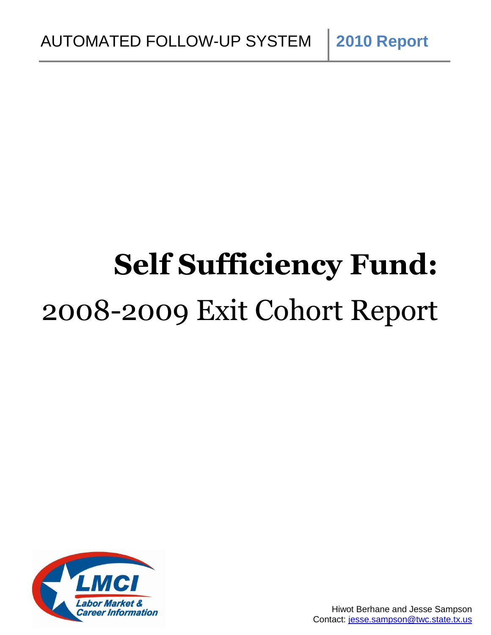# **Self Sufficiency Fund:** 2008-2009 Exit Cohort Report

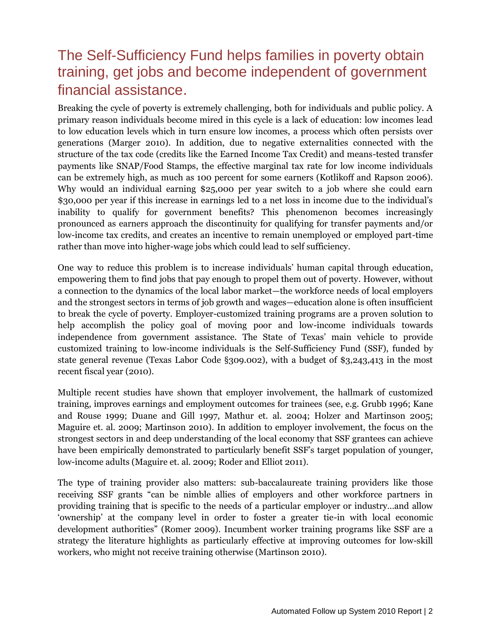# The Self-Sufficiency Fund helps families in poverty obtain training, get jobs and become independent of government financial assistance.

Breaking the cycle of poverty is extremely challenging, both for individuals and public policy. A primary reason individuals become mired in this cycle is a lack of education: low incomes lead to low education levels which in turn ensure low incomes, a process which often persists over generations (Marger 2010). In addition, due to negative externalities connected with the structure of the tax code (credits like the Earned Income Tax Credit) and means-tested transfer payments like SNAP/Food Stamps, the effective marginal tax rate for low income individuals can be extremely high, as much as 100 percent for some earners (Kotlikoff and Rapson 2006). Why would an individual earning \$25,000 per year switch to a job where she could earn \$30,000 per year if this increase in earnings led to a net loss in income due to the individual's inability to qualify for government benefits? This phenomenon becomes increasingly pronounced as earners approach the discontinuity for qualifying for transfer payments and/or low-income tax credits, and creates an incentive to remain unemployed or employed part-time rather than move into higher-wage jobs which could lead to self sufficiency.

One way to reduce this problem is to increase individuals' human capital through education, empowering them to find jobs that pay enough to propel them out of poverty. However, without a connection to the dynamics of the local labor market—the workforce needs of local employers and the strongest sectors in terms of job growth and wages—education alone is often insufficient to break the cycle of poverty. Employer-customized training programs are a proven solution to help accomplish the policy goal of moving poor and low-income individuals towards independence from government assistance. The State of Texas' main vehicle to provide customized training to low-income individuals is the Self-Sufficiency Fund (SSF), funded by state general revenue (Texas Labor Code §309.002), with a budget of \$3,243,413 in the most recent fiscal year (2010).

Multiple recent studies have shown that employer involvement, the hallmark of customized training, improves earnings and employment outcomes for trainees (see, e.g. Grubb 1996; Kane and Rouse 1999; Duane and Gill 1997, Mathur et. al. 2004; Holzer and Martinson 2005; Maguire et. al. 2009; Martinson 2010). In addition to employer involvement, the focus on the strongest sectors in and deep understanding of the local economy that SSF grantees can achieve have been empirically demonstrated to particularly benefit SSF's target population of younger, low-income adults (Maguire et. al. 2009; Roder and Elliot 2011).

The type of training provider also matters: sub-baccalaureate training providers like those receiving SSF grants "can be nimble allies of employers and other workforce partners in providing training that is specific to the needs of a particular employer or industry…and allow ‗ownership' at the company level in order to foster a greater tie-in with local economic development authorities" (Romer 2009). Incumbent worker training programs like SSF are a strategy the literature highlights as particularly effective at improving outcomes for low-skill workers, who might not receive training otherwise (Martinson 2010).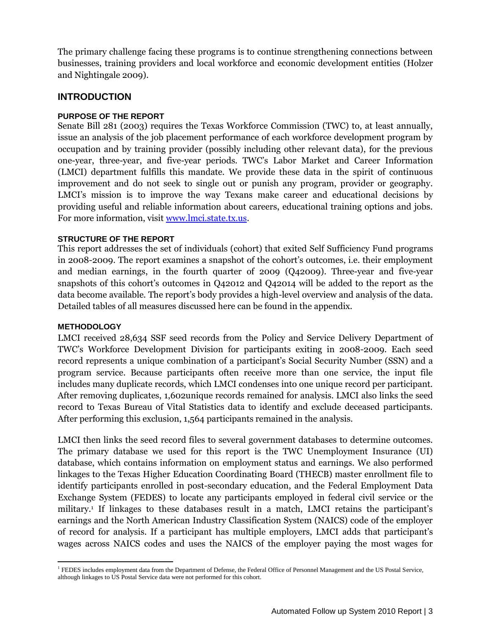The primary challenge facing these programs is to continue strengthening connections between businesses, training providers and local workforce and economic development entities (Holzer and Nightingale 2009).

# **INTRODUCTION**

# **PURPOSE OF THE REPORT**

Senate Bill 281 (2003) requires the Texas Workforce Commission (TWC) to, at least annually, issue an analysis of the job placement performance of each workforce development program by occupation and by training provider (possibly including other relevant data), for the previous one-year, three-year, and five-year periods. TWC's Labor Market and Career Information (LMCI) department fulfills this mandate. We provide these data in the spirit of continuous improvement and do not seek to single out or punish any program, provider or geography. LMCI's mission is to improve the way Texans make career and educational decisions by providing useful and reliable information about careers, educational training options and jobs. For more information, visit [www.lmci.state.tx.us.](http://www.lmci.state.tx.us/)

#### **STRUCTURE OF THE REPORT**

This report addresses the set of individuals (cohort) that exited Self Sufficiency Fund programs in 2008-2009. The report examines a snapshot of the cohort's outcomes, i.e. their employment and median earnings, in the fourth quarter of 2009 (Q42009). Three-year and five-year snapshots of this cohort's outcomes in Q42012 and Q42014 will be added to the report as the data become available. The report's body provides a high-level overview and analysis of the data. Detailed tables of all measures discussed here can be found in the appendix.

#### **METHODOLOGY**

LMCI received 28,634 SSF seed records from the Policy and Service Delivery Department of TWC's Workforce Development Division for participants exiting in 2008-2009. Each seed record represents a unique combination of a participant's Social Security Number (SSN) and a program service. Because participants often receive more than one service, the input file includes many duplicate records, which LMCI condenses into one unique record per participant. After removing duplicates, 1,602unique records remained for analysis. LMCI also links the seed record to Texas Bureau of Vital Statistics data to identify and exclude deceased participants. After performing this exclusion, 1,564 participants remained in the analysis.

LMCI then links the seed record files to several government databases to determine outcomes. The primary database we used for this report is the TWC Unemployment Insurance (UI) database, which contains information on employment status and earnings. We also performed linkages to the Texas Higher Education Coordinating Board (THECB) master enrollment file to identify participants enrolled in post-secondary education, and the Federal Employment Data Exchange System (FEDES) to locate any participants employed in federal civil service or the military. <sup>1</sup> If linkages to these databases result in a match, LMCI retains the participant's earnings and the North American Industry Classification System (NAICS) code of the employer of record for analysis. If a participant has multiple employers, LMCI adds that participant's wages across NAICS codes and uses the NAICS of the employer paying the most wages for

 $\overline{a}$ <sup>1</sup> FEDES includes employment data from the Department of Defense, the Federal Office of Personnel Management and the US Postal Service, although linkages to US Postal Service data were not performed for this cohort.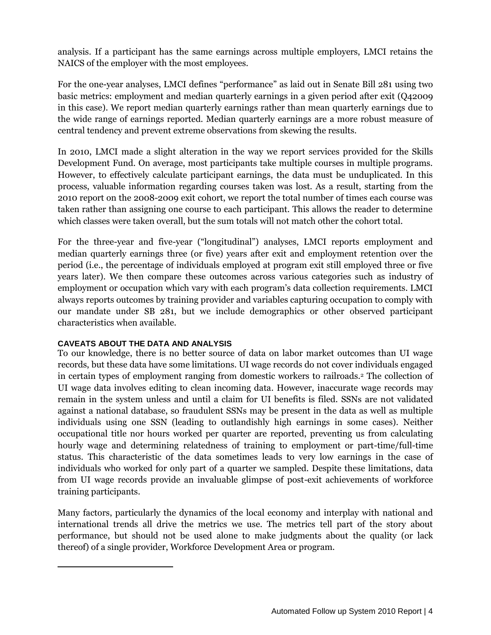analysis. If a participant has the same earnings across multiple employers, LMCI retains the NAICS of the employer with the most employees.

For the one-year analyses, LMCI defines "performance" as laid out in Senate Bill 281 using two basic metrics: employment and median quarterly earnings in a given period after exit (Q42009 in this case). We report median quarterly earnings rather than mean quarterly earnings due to the wide range of earnings reported. Median quarterly earnings are a more robust measure of central tendency and prevent extreme observations from skewing the results.

In 2010, LMCI made a slight alteration in the way we report services provided for the Skills Development Fund. On average, most participants take multiple courses in multiple programs. However, to effectively calculate participant earnings, the data must be unduplicated. In this process, valuable information regarding courses taken was lost. As a result, starting from the 2010 report on the 2008-2009 exit cohort, we report the total number of times each course was taken rather than assigning one course to each participant. This allows the reader to determine which classes were taken overall, but the sum totals will not match other the cohort total.

For the three-year and five-year ("longitudinal") analyses, LMCI reports employment and median quarterly earnings three (or five) years after exit and employment retention over the period (i.e., the percentage of individuals employed at program exit still employed three or five years later). We then compare these outcomes across various categories such as industry of employment or occupation which vary with each program's data collection requirements. LMCI always reports outcomes by training provider and variables capturing occupation to comply with our mandate under SB 281, but we include demographics or other observed participant characteristics when available.

# **CAVEATS ABOUT THE DATA AND ANALYSIS**

 $\overline{\phantom{a}}$ 

To our knowledge, there is no better source of data on labor market outcomes than UI wage records, but these data have some limitations. UI wage records do not cover individuals engaged in certain types of employment ranging from domestic workers to railroads.<sup>2</sup> The collection of UI wage data involves editing to clean incoming data. However, inaccurate wage records may remain in the system unless and until a claim for UI benefits is filed. SSNs are not validated against a national database, so fraudulent SSNs may be present in the data as well as multiple individuals using one SSN (leading to outlandishly high earnings in some cases). Neither occupational title nor hours worked per quarter are reported, preventing us from calculating hourly wage and determining relatedness of training to employment or part-time/full-time status. This characteristic of the data sometimes leads to very low earnings in the case of individuals who worked for only part of a quarter we sampled. Despite these limitations, data from UI wage records provide an invaluable glimpse of post-exit achievements of workforce training participants.

Many factors, particularly the dynamics of the local economy and interplay with national and international trends all drive the metrics we use. The metrics tell part of the story about performance, but should not be used alone to make judgments about the quality (or lack thereof) of a single provider, Workforce Development Area or program.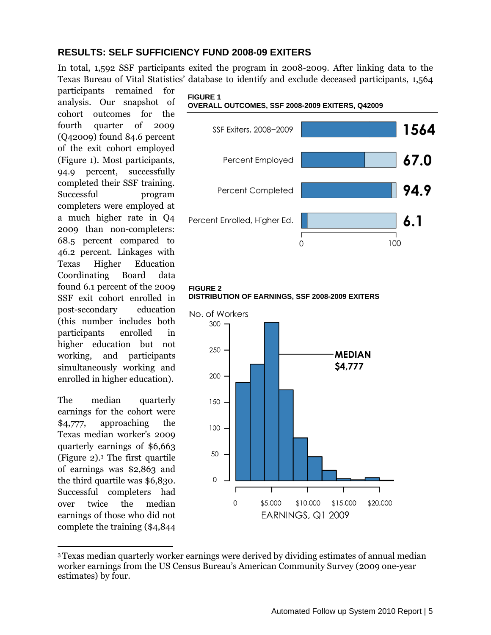# **RESULTS: SELF SUFFICIENCY FUND 2008-09 EXITERS**

In total, 1,592 SSF participants exited the program in 2008-2009. After linking data to the Texas Bureau of Vital Statistics' database to identify and exclude deceased participants, 1,564

participants remained for analysis. Our snapshot of cohort outcomes for the fourth quarter of 2009 (Q42009) found 84.6 percent of the exit cohort employed (Figure 1). Most participants, 94.9 percent, successfully completed their SSF training. Successful program completers were employed at a much higher rate in Q4 2009 than non-completers: 68.5 percent compared to 46.2 percent. Linkages with Texas Higher Education Coordinating Board data found 6.1 percent of the 2009 SSF exit cohort enrolled in post-secondary education (this number includes both participants enrolled in higher education but not working, and participants simultaneously working and enrolled in higher education).

The median quarterly earnings for the cohort were \$4,777, approaching the Texas median worker's 2009 quarterly earnings of \$6,663 (Figure 2). <sup>3</sup> The first quartile of earnings was \$2,863 and the third quartile was \$6,830. Successful completers had over twice the median earnings of those who did not complete the training (\$4,844

l





#### **FIGURE 2 DISTRIBUTION OF EARNINGS, SSF 2008-2009 EXITERS**



<sup>3</sup>Texas median quarterly worker earnings were derived by dividing estimates of annual median worker earnings from the US Census Bureau's American Community Survey (2009 one-year estimates) by four.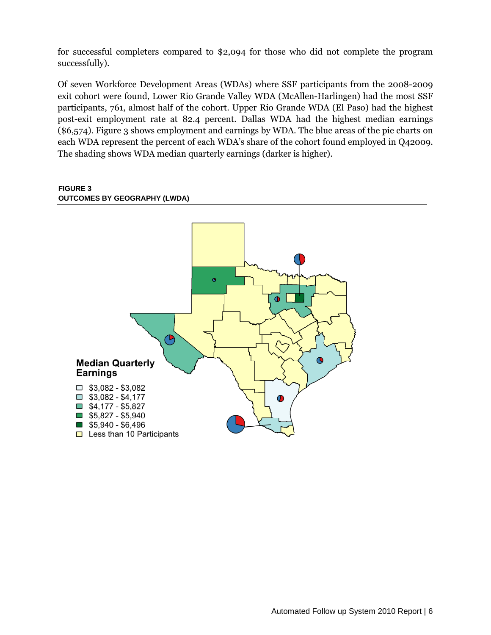for successful completers compared to \$2,094 for those who did not complete the program successfully).

Of seven Workforce Development Areas (WDAs) where SSF participants from the 2008-2009 exit cohort were found, Lower Rio Grande Valley WDA (McAllen-Harlingen) had the most SSF participants, 761, almost half of the cohort. Upper Rio Grande WDA (El Paso) had the highest post-exit employment rate at 82.4 percent. Dallas WDA had the highest median earnings (\$6,574). Figure 3 shows employment and earnings by WDA. The blue areas of the pie charts on each WDA represent the percent of each WDA's share of the cohort found employed in Q42009. The shading shows WDA median quarterly earnings (darker is higher).

#### **FIGURE 3 OUTCOMES BY GEOGRAPHY (LWDA)**

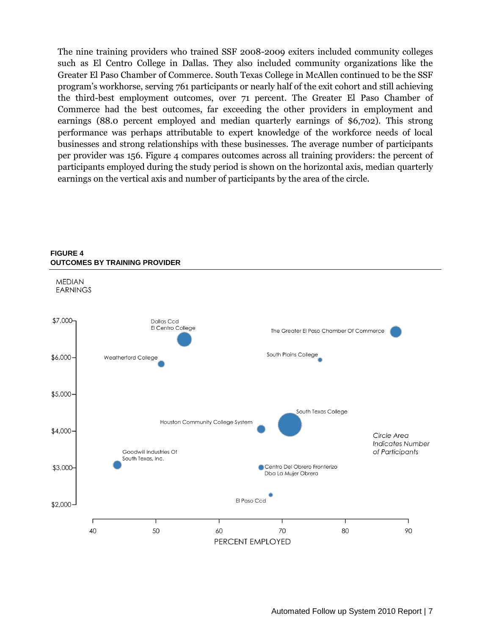The nine training providers who trained SSF 2008-2009 exiters included community colleges such as El Centro College in Dallas. They also included community organizations like the Greater El Paso Chamber of Commerce. South Texas College in McAllen continued to be the SSF program's workhorse, serving 761 participants or nearly half of the exit cohort and still achieving the third-best employment outcomes, over 71 percent. The Greater El Paso Chamber of Commerce had the best outcomes, far exceeding the other providers in employment and earnings (88.0 percent employed and median quarterly earnings of \$6,702). This strong performance was perhaps attributable to expert knowledge of the workforce needs of local businesses and strong relationships with these businesses. The average number of participants per provider was 156. Figure 4 compares outcomes across all training providers: the percent of participants employed during the study period is shown on the horizontal axis, median quarterly earnings on the vertical axis and number of participants by the area of the circle.



### **FIGURE 4 OUTCOMES BY TRAINING PROVIDER**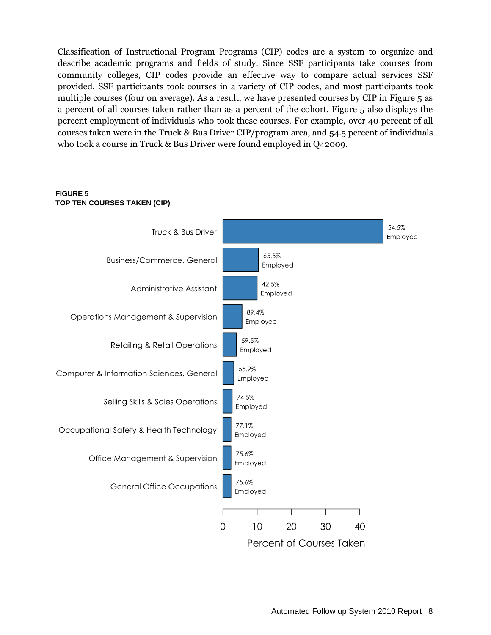Classification of Instructional Program Programs (CIP) codes are a system to organize and describe academic programs and fields of study. Since SSF participants take courses from community colleges, CIP codes provide an effective way to compare actual services SSF provided. SSF participants took courses in a variety of CIP codes, and most participants took multiple courses (four on average). As a result, we have presented courses by CIP in Figure 5 as a percent of all courses taken rather than as a percent of the cohort. Figure 5 also displays the percent employment of individuals who took these courses. For example, over 40 percent of all courses taken were in the Truck & Bus Driver CIP/program area, and 54.5 percent of individuals who took a course in Truck & Bus Driver were found employed in Q42009.



# **FIGURE 5 TOP TEN COURSES TAKEN (CIP)**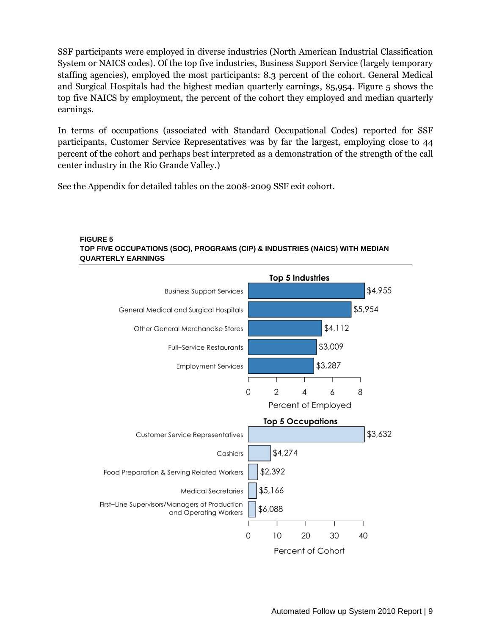SSF participants were employed in diverse industries (North American Industrial Classification System or NAICS codes). Of the top five industries, Business Support Service (largely temporary staffing agencies), employed the most participants: 8.3 percent of the cohort. General Medical and Surgical Hospitals had the highest median quarterly earnings, \$5,954. Figure 5 shows the top five NAICS by employment, the percent of the cohort they employed and median quarterly earnings.

In terms of occupations (associated with Standard Occupational Codes) reported for SSF participants, Customer Service Representatives was by far the largest, employing close to 44 percent of the cohort and perhaps best interpreted as a demonstration of the strength of the call center industry in the Rio Grande Valley.)

See the Appendix for detailed tables on the 2008-2009 SSF exit cohort.



#### **FIGURE 5 TOP FIVE OCCUPATIONS (SOC), PROGRAMS (CIP) & INDUSTRIES (NAICS) WITH MEDIAN QUARTERLY EARNINGS**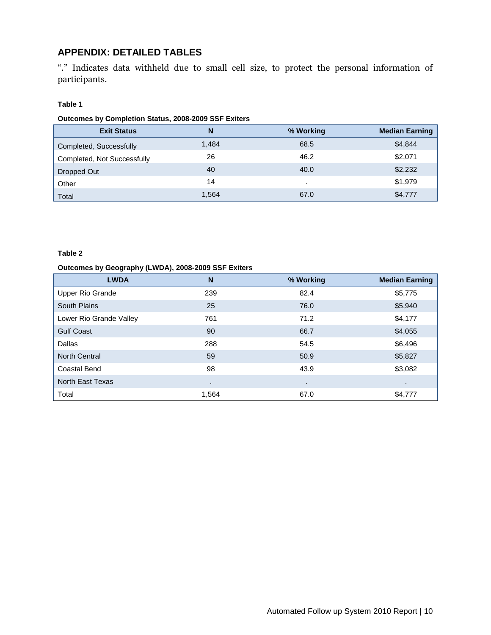# **APPENDIX: DETAILED TABLES**

―.‖ Indicates data withheld due to small cell size, to protect the personal information of participants.

#### **Table 1**

#### **Outcomes by Completion Status, 2008-2009 SSF Exiters**

| <b>Exit Status</b>          | N     | % Working | <b>Median Earning</b> |
|-----------------------------|-------|-----------|-----------------------|
| Completed, Successfully     | 1.484 | 68.5      | \$4,844               |
| Completed, Not Successfully | 26    | 46.2      | \$2,071               |
| Dropped Out                 | 40    | 40.0      | \$2,232               |
| Other                       | 14    |           | \$1,979               |
| Total                       | 1,564 | 67.0      | \$4,777               |

#### **Table 2**

#### **Outcomes by Geography (LWDA), 2008-2009 SSF Exiters**

| <b>LWDA</b>             | N     | % Working      | <b>Median Earning</b> |
|-------------------------|-------|----------------|-----------------------|
| Upper Rio Grande        | 239   | 82.4           | \$5,775               |
| South Plains            | 25    | 76.0           | \$5,940               |
| Lower Rio Grande Valley | 761   | 71.2           | \$4,177               |
| <b>Gulf Coast</b>       | 90    | 66.7           | \$4,055               |
| Dallas                  | 288   | 54.5           | \$6,496               |
| <b>North Central</b>    | 59    | 50.9           | \$5,827               |
| <b>Coastal Bend</b>     | 98    | 43.9           | \$3,082               |
| North East Texas        | ٠     | $\blacksquare$ | ٠                     |
| Total                   | 1.564 | 67.0           | \$4,777               |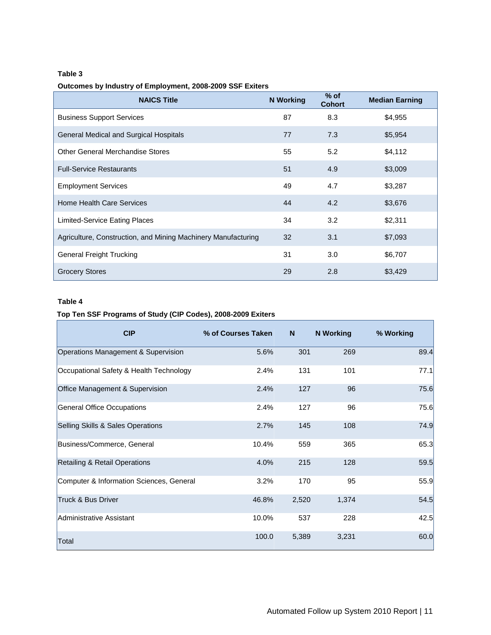#### **Table 3**

#### **Outcomes by Industry of Employment, 2008-2009 SSF Exiters**

| <b>NAICS Title</b>                                            | <b>N</b> Working | $%$ of<br><b>Cohort</b> | <b>Median Earning</b> |
|---------------------------------------------------------------|------------------|-------------------------|-----------------------|
| <b>Business Support Services</b>                              | 87               | 8.3                     | \$4,955               |
| General Medical and Surgical Hospitals                        | 77               | 7.3                     | \$5,954               |
| Other General Merchandise Stores                              | 55               | 5.2                     | \$4,112               |
| <b>Full-Service Restaurants</b>                               | 51               | 4.9                     | \$3,009               |
| <b>Employment Services</b>                                    | 49               | 4.7                     | \$3,287               |
| Home Health Care Services                                     | 44               | 4.2                     | \$3,676               |
| Limited-Service Eating Places                                 | 34               | 3.2                     | \$2,311               |
| Agriculture, Construction, and Mining Machinery Manufacturing | 32               | 3.1                     | \$7,093               |
| <b>General Freight Trucking</b>                               | 31               | 3.0                     | \$6,707               |
| <b>Grocery Stores</b>                                         | 29               | 2.8                     | \$3,429               |

#### **Table 4**

#### **Top Ten SSF Programs of Study (CIP Codes), 2008-2009 Exiters**

| <b>CIP</b>                               | % of Courses Taken | N.    | <b>N</b> Working | % Working |
|------------------------------------------|--------------------|-------|------------------|-----------|
| Operations Management & Supervision      | 5.6%               | 301   | 269              | 89.4      |
| Occupational Safety & Health Technology  | 2.4%               | 131   | 101              | 77.1      |
| Office Management & Supervision          | 2.4%               | 127   | 96               | 75.6      |
| General Office Occupations               | 2.4%               | 127   | 96               | 75.6      |
| Selling Skills & Sales Operations        | 2.7%               | 145   | 108              | 74.9      |
| Business/Commerce, General               | 10.4%              | 559   | 365              | 65.3      |
| Retailing & Retail Operations            | 4.0%               | 215   | 128              | 59.5      |
| Computer & Information Sciences, General | 3.2%               | 170   | 95               | 55.9      |
| Truck & Bus Driver                       | 46.8%              | 2,520 | 1,374            | 54.5      |
| Administrative Assistant                 | 10.0%              | 537   | 228              | 42.5      |
| Total                                    | 100.0              | 5,389 | 3,231            | 60.0      |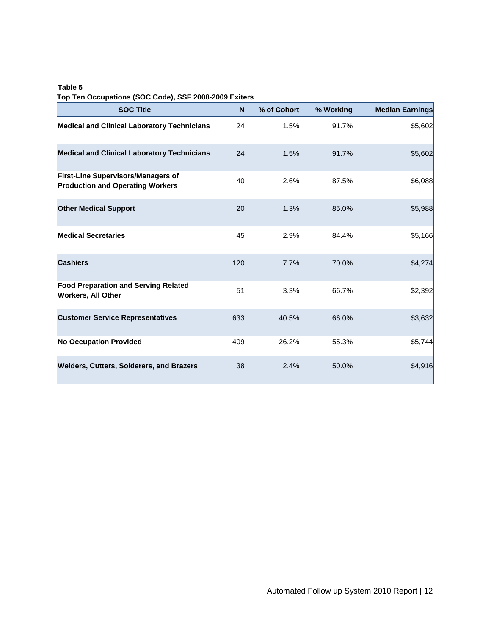#### **Table 5 Top Ten Occupations (SOC Code), SSF 2008-2009 Exiters**

| <b>SOC Title</b>                                                                     | N   | % of Cohort | % Working | <b>Median Earnings</b> |
|--------------------------------------------------------------------------------------|-----|-------------|-----------|------------------------|
| <b>Medical and Clinical Laboratory Technicians</b>                                   | 24  | 1.5%        | 91.7%     | \$5,602                |
| <b>Medical and Clinical Laboratory Technicians</b>                                   | 24  | 1.5%        | 91.7%     | \$5,602                |
| <b>First-Line Supervisors/Managers of</b><br><b>Production and Operating Workers</b> | 40  | 2.6%        | 87.5%     | \$6,088                |
| <b>Other Medical Support</b>                                                         | 20  | 1.3%        | 85.0%     | \$5,988                |
| <b>Medical Secretaries</b>                                                           | 45  | 2.9%        | 84.4%     | \$5,166                |
| <b>Cashiers</b>                                                                      | 120 | 7.7%        | 70.0%     | \$4,274                |
| <b>Food Preparation and Serving Related</b><br><b>Workers, All Other</b>             | 51  | 3.3%        | 66.7%     | \$2,392                |
| <b>Customer Service Representatives</b>                                              | 633 | 40.5%       | 66.0%     | \$3,632                |
| <b>No Occupation Provided</b>                                                        | 409 | 26.2%       | 55.3%     | \$5,744                |
| <b>Welders, Cutters, Solderers, and Brazers</b>                                      | 38  | 2.4%        | 50.0%     | \$4,916                |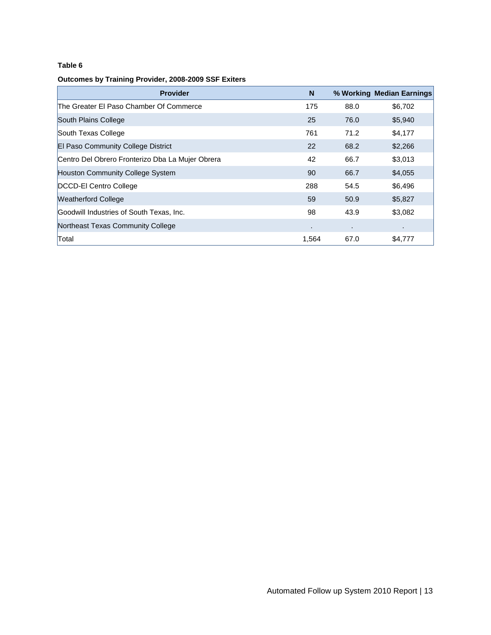#### **Table 6**

#### **Outcomes by Training Provider, 2008-2009 SSF Exiters**

| <b>Provider</b>                                  | N     |      | % Working Median Earnings |
|--------------------------------------------------|-------|------|---------------------------|
| The Greater El Paso Chamber Of Commerce          | 175   | 88.0 | \$6,702                   |
| South Plains College                             | 25    | 76.0 | \$5,940                   |
| South Texas College                              | 761   | 71.2 | \$4,177                   |
| <b>El Paso Community College District</b>        | 22    | 68.2 | \$2,266                   |
| Centro Del Obrero Fronterizo Dba La Mujer Obrera | 42    | 66.7 | \$3,013                   |
| Houston Community College System                 | 90    | 66.7 | \$4,055                   |
| DCCD-El Centro College                           | 288   | 54.5 | \$6,496                   |
| <b>Weatherford College</b>                       | 59    | 50.9 | \$5,827                   |
| Goodwill Industries of South Texas, Inc.         | 98    | 43.9 | \$3,082                   |
| Northeast Texas Community College                | ٠     | ٠    | ٠                         |
| Total                                            | 1,564 | 67.0 | \$4,777                   |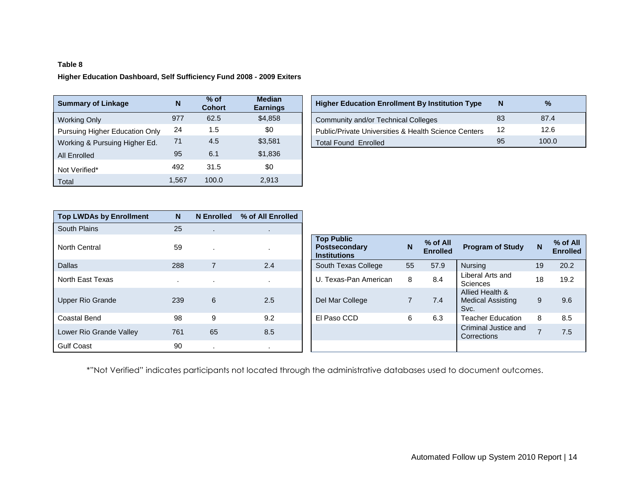# **Table 8 Higher Education Dashboard, Self Sufficiency Fund 2008 - 2009 Exiters**

| <b>Summary of Linkage</b>      | N     | $%$ of<br><b>Cohort</b> | <b>Median</b><br><b>Earnings</b> | <b>Higher Education Enrollment By Institution Type</b> | N  | $\frac{9}{6}$ |
|--------------------------------|-------|-------------------------|----------------------------------|--------------------------------------------------------|----|---------------|
| Working Only                   | 977   | 62.5                    | \$4,858                          | Community and/or Technical Colleges                    | 83 | 87.4          |
| Pursuing Higher Education Only | 24    | 1.5                     | \$0                              | Public/Private Universities & Health Science Centers   | 12 | 12.6          |
| Working & Pursuing Higher Ed.  | 71    | 4.5                     | \$3,581                          | <b>Total Found Enrolled</b>                            | 95 | 100.0         |
| All Enrolled                   | 95    | 6.1                     | \$1,836                          |                                                        |    |               |
| Not Verified*                  | 492   | 31.5                    | \$0                              |                                                        |    |               |
| Total                          | ∣.567 | 100.0                   | 2,913                            |                                                        |    |               |

| <b>Median</b><br>Earnings | <b>Higher Education Enrollment By Institution Type</b> | N  | $\%$  |
|---------------------------|--------------------------------------------------------|----|-------|
| \$4,858                   | Community and/or Technical Colleges                    | 83 | 87.4  |
| \$0                       | Public/Private Universities & Health Science Centers   | 12 | 12.6  |
| \$3,581                   | <b>Total Found Enrolled</b>                            | 95 | 100.0 |

| <b>Top LWDAs by Enrollment</b> | N      | <b>N</b> Enrolled | % of All Enrolled |
|--------------------------------|--------|-------------------|-------------------|
| South Plains                   | 25     | $\mathbf{r}$      | $\sim$            |
| North Central                  | 59     |                   |                   |
| Dallas                         | 288    | $\overline{7}$    | 2.4               |
| North East Texas               | $\sim$ |                   |                   |
| Upper Rio Grande               | 239    | 6                 | 2.5               |
| Coastal Bend                   | 98     | 9                 | 9.2               |
| Lower Rio Grande Valley        | 761    | 65                | 8.5               |
| <b>Gulf Coast</b>              | 90     | $\cdot$           |                   |

| North Central           | 59  |    |         | <b>Top Public</b><br><b>Postsecondary</b><br><b>Institutions</b> | N  | $%$ of All<br><b>Enrolled</b> | <b>Program of Study</b>                             | N  | $%$ of All<br><b>Enrolled</b> |
|-------------------------|-----|----|---------|------------------------------------------------------------------|----|-------------------------------|-----------------------------------------------------|----|-------------------------------|
| <b>Dallas</b>           | 288 |    | 2.4     | South Texas College                                              | 55 | 57.9                          | Nursing                                             | 19 | 20.2                          |
| North East Texas        |     |    | $\cdot$ | U. Texas-Pan American                                            | 8  | 8.4                           | Liberal Arts and<br><b>Sciences</b>                 | 18 | 19.2                          |
| Upper Rio Grande        | 239 | 6  | 2.5     | Del Mar College                                                  |    | 7.4                           | Allied Health &<br><b>Medical Assisting</b><br>Svc. | 9  | 9.6                           |
| Coastal Bend            | 98  | 9  | 9.2     | El Paso CCD                                                      | 6  | 6.3                           | <b>Teacher Education</b>                            | 8  | 8.5                           |
| Lower Rio Grande Valley | 761 | 65 | 8.5     |                                                                  |    |                               | Criminal Justice and<br>Corrections                 | ⇁  | 7.5                           |
| Gulf Coast              | 90  |    |         |                                                                  |    |                               |                                                     |    |                               |

\*"Not Verified" indicates participants not located through the administrative databases used to document outcomes.